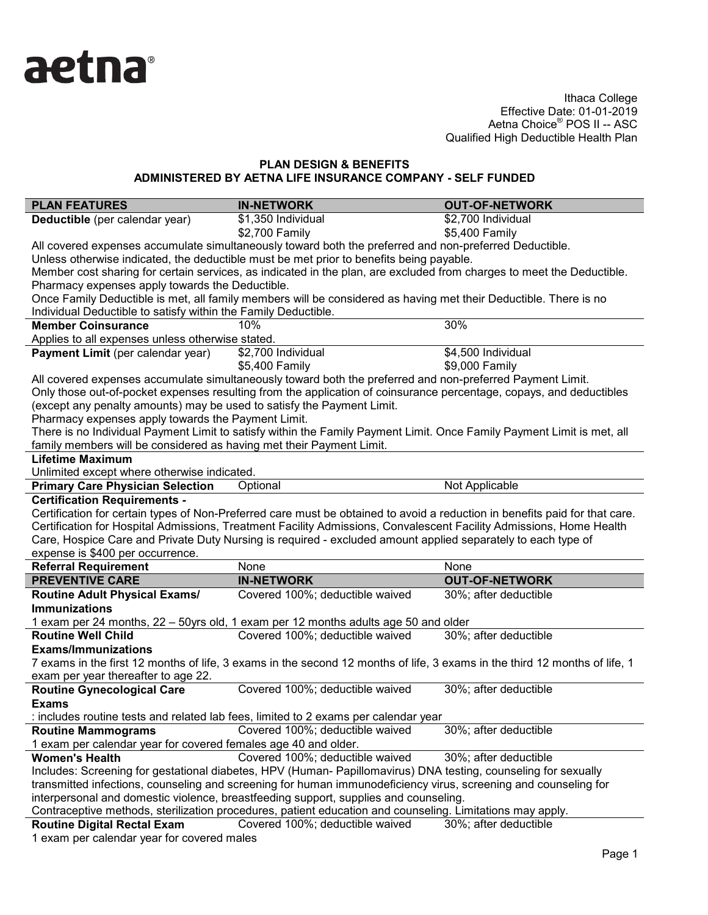

| <b>PLAN FEATURES</b>                                                                                                | <b>IN-NETWORK</b>                                                                                                                            | <b>OUT-OF-NETWORK</b> |  |  |  |
|---------------------------------------------------------------------------------------------------------------------|----------------------------------------------------------------------------------------------------------------------------------------------|-----------------------|--|--|--|
| Deductible (per calendar year)                                                                                      | \$1,350 Individual                                                                                                                           | \$2,700 Individual    |  |  |  |
|                                                                                                                     | \$2,700 Family                                                                                                                               | \$5,400 Family        |  |  |  |
|                                                                                                                     | All covered expenses accumulate simultaneously toward both the preferred and non-preferred Deductible.                                       |                       |  |  |  |
|                                                                                                                     | Unless otherwise indicated, the deductible must be met prior to benefits being payable.                                                      |                       |  |  |  |
|                                                                                                                     | Member cost sharing for certain services, as indicated in the plan, are excluded from charges to meet the Deductible.                        |                       |  |  |  |
| Pharmacy expenses apply towards the Deductible.                                                                     |                                                                                                                                              |                       |  |  |  |
|                                                                                                                     | Once Family Deductible is met, all family members will be considered as having met their Deductible. There is no                             |                       |  |  |  |
| Individual Deductible to satisfy within the Family Deductible.                                                      |                                                                                                                                              |                       |  |  |  |
| <b>Member Coinsurance</b>                                                                                           | 10%                                                                                                                                          | 30%                   |  |  |  |
| Applies to all expenses unless otherwise stated.                                                                    |                                                                                                                                              |                       |  |  |  |
| Payment Limit (per calendar year)                                                                                   | \$2,700 Individual                                                                                                                           | \$4,500 Individual    |  |  |  |
|                                                                                                                     | \$5,400 Family                                                                                                                               | \$9,000 Family        |  |  |  |
|                                                                                                                     | All covered expenses accumulate simultaneously toward both the preferred and non-preferred Payment Limit.                                    |                       |  |  |  |
|                                                                                                                     | Only those out-of-pocket expenses resulting from the application of coinsurance percentage, copays, and deductibles                          |                       |  |  |  |
| (except any penalty amounts) may be used to satisfy the Payment Limit.                                              |                                                                                                                                              |                       |  |  |  |
| Pharmacy expenses apply towards the Payment Limit.                                                                  |                                                                                                                                              |                       |  |  |  |
|                                                                                                                     | There is no Individual Payment Limit to satisfy within the Family Payment Limit. Once Family Payment Limit is met, all                       |                       |  |  |  |
| family members will be considered as having met their Payment Limit.                                                |                                                                                                                                              |                       |  |  |  |
| <b>Lifetime Maximum</b>                                                                                             |                                                                                                                                              |                       |  |  |  |
| Unlimited except where otherwise indicated.                                                                         |                                                                                                                                              |                       |  |  |  |
| <b>Primary Care Physician Selection</b>                                                                             | Optional                                                                                                                                     | Not Applicable        |  |  |  |
| <b>Certification Requirements -</b>                                                                                 |                                                                                                                                              |                       |  |  |  |
|                                                                                                                     | Certification for certain types of Non-Preferred care must be obtained to avoid a reduction in benefits paid for that care.                  |                       |  |  |  |
| Certification for Hospital Admissions, Treatment Facility Admissions, Convalescent Facility Admissions, Home Health |                                                                                                                                              |                       |  |  |  |
|                                                                                                                     |                                                                                                                                              |                       |  |  |  |
|                                                                                                                     | Care, Hospice Care and Private Duty Nursing is required - excluded amount applied separately to each type of                                 |                       |  |  |  |
| expense is \$400 per occurrence.                                                                                    |                                                                                                                                              |                       |  |  |  |
| <b>Referral Requirement</b>                                                                                         | None                                                                                                                                         | None                  |  |  |  |
| <b>PREVENTIVE CARE</b>                                                                                              | <b>IN-NETWORK</b>                                                                                                                            | <b>OUT-OF-NETWORK</b> |  |  |  |
| <b>Routine Adult Physical Exams/</b>                                                                                | Covered 100%; deductible waived                                                                                                              | 30%; after deductible |  |  |  |
| <b>Immunizations</b>                                                                                                |                                                                                                                                              |                       |  |  |  |
|                                                                                                                     | 1 exam per 24 months, 22 – 50yrs old, 1 exam per 12 months adults age 50 and older                                                           |                       |  |  |  |
| <b>Routine Well Child</b>                                                                                           | Covered 100%; deductible waived                                                                                                              | 30%; after deductible |  |  |  |
| <b>Exams/Immunizations</b>                                                                                          |                                                                                                                                              |                       |  |  |  |
|                                                                                                                     | 7 exams in the first 12 months of life, 3 exams in the second 12 months of life, 3 exams in the third 12 months of life, 1                   |                       |  |  |  |
| exam per year thereafter to age 22.                                                                                 |                                                                                                                                              |                       |  |  |  |
| Routine Gynecological Care                                                                                          | Covered 100%; deductible waived                                                                                                              | 30%; after deductible |  |  |  |
| <b>Exams</b>                                                                                                        |                                                                                                                                              |                       |  |  |  |
|                                                                                                                     | includes routine tests and related lab fees, limited to 2 exams per calendar year                                                            |                       |  |  |  |
|                                                                                                                     | Covered 100%; deductible waived                                                                                                              | 30%; after deductible |  |  |  |
| <b>Routine Mammograms</b>                                                                                           |                                                                                                                                              |                       |  |  |  |
| 1 exam per calendar year for covered females age 40 and older.                                                      |                                                                                                                                              |                       |  |  |  |
| <b>Women's Health</b>                                                                                               | Covered 100%; deductible waived                                                                                                              | 30%; after deductible |  |  |  |
|                                                                                                                     | Includes: Screening for gestational diabetes, HPV (Human- Papillomavirus) DNA testing, counseling for sexually                               |                       |  |  |  |
|                                                                                                                     | transmitted infections, counseling and screening for human immunodeficiency virus, screening and counseling for                              |                       |  |  |  |
|                                                                                                                     | interpersonal and domestic violence, breastfeeding support, supplies and counseling.                                                         |                       |  |  |  |
| <b>Routine Digital Rectal Exam</b>                                                                                  | Contraceptive methods, sterilization procedures, patient education and counseling. Limitations may apply.<br>Covered 100%; deductible waived | 30%; after deductible |  |  |  |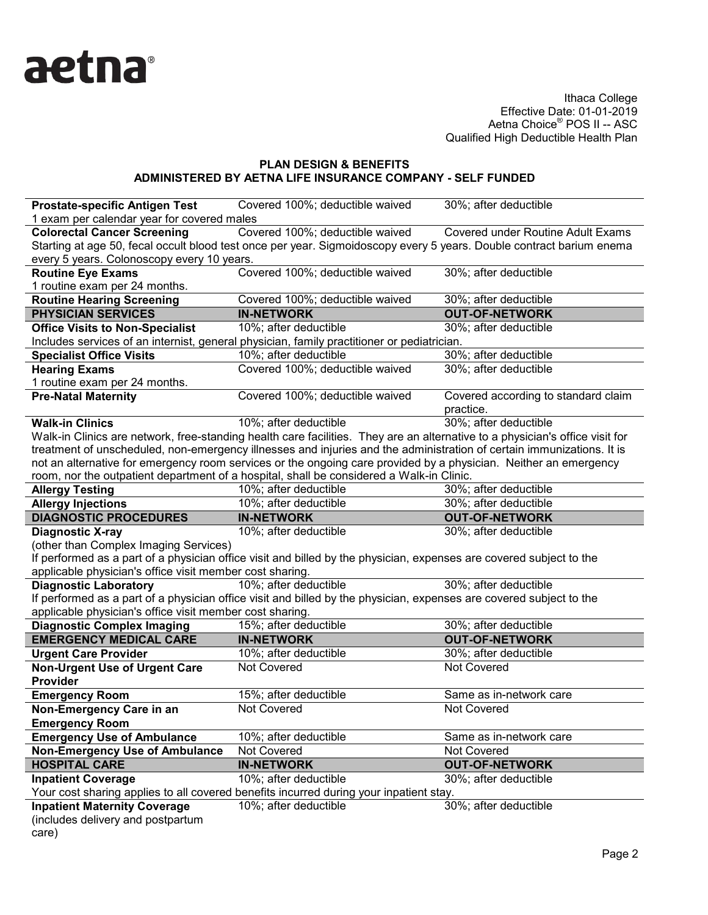

| <b>Prostate-specific Antigen Test</b>                                                                                | Covered 100%; deductible waived                                                                                              | 30%; after deductible                            |  |  |
|----------------------------------------------------------------------------------------------------------------------|------------------------------------------------------------------------------------------------------------------------------|--------------------------------------------------|--|--|
| 1 exam per calendar year for covered males                                                                           |                                                                                                                              |                                                  |  |  |
| <b>Colorectal Cancer Screening</b>                                                                                   | Covered 100%; deductible waived                                                                                              | Covered under Routine Adult Exams                |  |  |
| Starting at age 50, fecal occult blood test once per year. Sigmoidoscopy every 5 years. Double contract barium enema |                                                                                                                              |                                                  |  |  |
| every 5 years. Colonoscopy every 10 years.                                                                           |                                                                                                                              |                                                  |  |  |
| <b>Routine Eye Exams</b>                                                                                             | Covered 100%; deductible waived                                                                                              | 30%; after deductible                            |  |  |
| 1 routine exam per 24 months.                                                                                        |                                                                                                                              |                                                  |  |  |
| <b>Routine Hearing Screening</b>                                                                                     | Covered 100%; deductible waived                                                                                              | 30%; after deductible                            |  |  |
| <b>PHYSICIAN SERVICES</b>                                                                                            | <b>IN-NETWORK</b>                                                                                                            | <b>OUT-OF-NETWORK</b>                            |  |  |
| <b>Office Visits to Non-Specialist</b>                                                                               | 10%; after deductible                                                                                                        | 30%; after deductible                            |  |  |
|                                                                                                                      | Includes services of an internist, general physician, family practitioner or pediatrician.                                   |                                                  |  |  |
| <b>Specialist Office Visits</b>                                                                                      | 10%; after deductible                                                                                                        | 30%; after deductible                            |  |  |
| <b>Hearing Exams</b>                                                                                                 | Covered 100%; deductible waived                                                                                              | 30%; after deductible                            |  |  |
| 1 routine exam per 24 months.                                                                                        |                                                                                                                              |                                                  |  |  |
| <b>Pre-Natal Maternity</b>                                                                                           | Covered 100%; deductible waived                                                                                              | Covered according to standard claim<br>practice. |  |  |
| <b>Walk-in Clinics</b>                                                                                               | 10%; after deductible                                                                                                        | 30%; after deductible                            |  |  |
|                                                                                                                      | Walk-in Clinics are network, free-standing health care facilities. They are an alternative to a physician's office visit for |                                                  |  |  |
|                                                                                                                      | treatment of unscheduled, non-emergency illnesses and injuries and the administration of certain immunizations. It is        |                                                  |  |  |
|                                                                                                                      | not an alternative for emergency room services or the ongoing care provided by a physician. Neither an emergency             |                                                  |  |  |
|                                                                                                                      | room, nor the outpatient department of a hospital, shall be considered a Walk-in Clinic.                                     |                                                  |  |  |
| <b>Allergy Testing</b>                                                                                               | 10%; after deductible                                                                                                        | 30%; after deductible                            |  |  |
| <b>Allergy Injections</b>                                                                                            | 10%; after deductible                                                                                                        | 30%; after deductible                            |  |  |
|                                                                                                                      |                                                                                                                              |                                                  |  |  |
| <b>DIAGNOSTIC PROCEDURES</b>                                                                                         | <b>IN-NETWORK</b>                                                                                                            | <b>OUT-OF-NETWORK</b>                            |  |  |
| <b>Diagnostic X-ray</b>                                                                                              | 10%; after deductible                                                                                                        | 30%; after deductible                            |  |  |
| (other than Complex Imaging Services)                                                                                |                                                                                                                              |                                                  |  |  |
|                                                                                                                      | If performed as a part of a physician office visit and billed by the physician, expenses are covered subject to the          |                                                  |  |  |
| applicable physician's office visit member cost sharing.                                                             |                                                                                                                              |                                                  |  |  |
| <b>Diagnostic Laboratory</b>                                                                                         | 10%; after deductible                                                                                                        | 30%; after deductible                            |  |  |
|                                                                                                                      | If performed as a part of a physician office visit and billed by the physician, expenses are covered subject to the          |                                                  |  |  |
| applicable physician's office visit member cost sharing.                                                             |                                                                                                                              |                                                  |  |  |
| <b>Diagnostic Complex Imaging</b>                                                                                    | 15%; after deductible                                                                                                        | 30%; after deductible                            |  |  |
| <b>EMERGENCY MEDICAL CARE</b>                                                                                        | <b>IN-NETWORK</b>                                                                                                            | <b>OUT-OF-NETWORK</b>                            |  |  |
| <b>Urgent Care Provider</b>                                                                                          | 10%; after deductible                                                                                                        | 30%; after deductible                            |  |  |
| <b>Non-Urgent Use of Urgent Care</b>                                                                                 | Not Covered                                                                                                                  | Not Covered                                      |  |  |
| Provider                                                                                                             |                                                                                                                              |                                                  |  |  |
| <b>Emergency Room</b>                                                                                                | 15%; after deductible                                                                                                        | Same as in-network care                          |  |  |
| Non-Emergency Care in an                                                                                             | Not Covered                                                                                                                  | <b>Not Covered</b>                               |  |  |
|                                                                                                                      |                                                                                                                              |                                                  |  |  |
| <b>Emergency Room</b>                                                                                                |                                                                                                                              | Same as in-network care                          |  |  |
| <b>Emergency Use of Ambulance</b>                                                                                    | 10%; after deductible<br>Not Covered                                                                                         | Not Covered                                      |  |  |
| <b>Non-Emergency Use of Ambulance</b><br><b>HOSPITAL CARE</b>                                                        | <b>IN-NETWORK</b>                                                                                                            | <b>OUT-OF-NETWORK</b>                            |  |  |
|                                                                                                                      |                                                                                                                              |                                                  |  |  |
| <b>Inpatient Coverage</b>                                                                                            | 10%; after deductible                                                                                                        | 30%; after deductible                            |  |  |
| <b>Inpatient Maternity Coverage</b>                                                                                  | Your cost sharing applies to all covered benefits incurred during your inpatient stay.<br>10%; after deductible              |                                                  |  |  |
| (includes delivery and postpartum                                                                                    |                                                                                                                              | 30%; after deductible                            |  |  |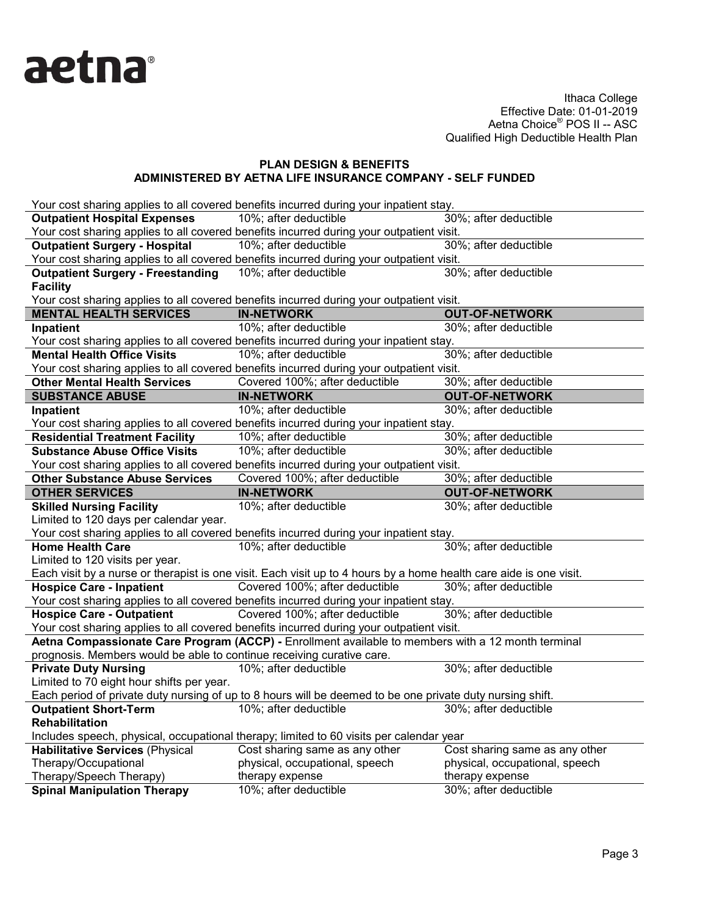

|                                                                                          | Your cost sharing applies to all covered benefits incurred during your inpatient stay.                             |                                          |  |  |  |
|------------------------------------------------------------------------------------------|--------------------------------------------------------------------------------------------------------------------|------------------------------------------|--|--|--|
| <b>Outpatient Hospital Expenses</b>                                                      | 10%; after deductible                                                                                              | 30%; after deductible                    |  |  |  |
| Your cost sharing applies to all covered benefits incurred during your outpatient visit. |                                                                                                                    |                                          |  |  |  |
| <b>Outpatient Surgery - Hospital</b>                                                     | 10%; after deductible                                                                                              | 30%; after deductible                    |  |  |  |
|                                                                                          | Your cost sharing applies to all covered benefits incurred during your outpatient visit.                           |                                          |  |  |  |
| <b>Outpatient Surgery - Freestanding</b>                                                 | 10%; after deductible                                                                                              | 30%; after deductible                    |  |  |  |
| <b>Facility</b>                                                                          |                                                                                                                    |                                          |  |  |  |
|                                                                                          | Your cost sharing applies to all covered benefits incurred during your outpatient visit.                           |                                          |  |  |  |
| <b>MENTAL HEALTH SERVICES</b>                                                            | <b>IN-NETWORK</b>                                                                                                  | <b>OUT-OF-NETWORK</b>                    |  |  |  |
| Inpatient                                                                                | 10%; after deductible                                                                                              | 30%; after deductible                    |  |  |  |
|                                                                                          | Your cost sharing applies to all covered benefits incurred during your inpatient stay.                             |                                          |  |  |  |
| <b>Mental Health Office Visits</b>                                                       | 10%; after deductible                                                                                              | 30%; after deductible                    |  |  |  |
|                                                                                          | Your cost sharing applies to all covered benefits incurred during your outpatient visit.                           |                                          |  |  |  |
| <b>Other Mental Health Services</b>                                                      | Covered 100%; after deductible                                                                                     | 30%; after deductible                    |  |  |  |
| <b>SUBSTANCE ABUSE</b>                                                                   | <b>IN-NETWORK</b>                                                                                                  | <b>OUT-OF-NETWORK</b>                    |  |  |  |
| Inpatient                                                                                | 10%; after deductible                                                                                              | 30%; after deductible                    |  |  |  |
| Your cost sharing applies to all covered benefits incurred during your inpatient stay.   |                                                                                                                    |                                          |  |  |  |
| <b>Residential Treatment Facility</b>                                                    | 10%; after deductible                                                                                              | 30%; after deductible                    |  |  |  |
| <b>Substance Abuse Office Visits</b>                                                     | 10%; after deductible                                                                                              | 30%; after deductible                    |  |  |  |
|                                                                                          | Your cost sharing applies to all covered benefits incurred during your outpatient visit.                           |                                          |  |  |  |
| <b>Other Substance Abuse Services</b>                                                    | Covered 100%; after deductible                                                                                     | 30%; after deductible                    |  |  |  |
| <b>OTHER SERVICES</b>                                                                    | <b>IN-NETWORK</b>                                                                                                  | <b>OUT-OF-NETWORK</b>                    |  |  |  |
|                                                                                          |                                                                                                                    |                                          |  |  |  |
| <b>Skilled Nursing Facility</b>                                                          | 10%; after deductible                                                                                              | 30%; after deductible                    |  |  |  |
| Limited to 120 days per calendar year.                                                   |                                                                                                                    |                                          |  |  |  |
|                                                                                          | Your cost sharing applies to all covered benefits incurred during your inpatient stay.                             |                                          |  |  |  |
| <b>Home Health Care</b>                                                                  | 10%; after deductible                                                                                              | 30%; after deductible                    |  |  |  |
| Limited to 120 visits per year.                                                          |                                                                                                                    |                                          |  |  |  |
|                                                                                          | Each visit by a nurse or therapist is one visit. Each visit up to 4 hours by a home health care aide is one visit. |                                          |  |  |  |
| <b>Hospice Care - Inpatient</b>                                                          | Covered 100%; after deductible                                                                                     | 30%; after deductible                    |  |  |  |
|                                                                                          | Your cost sharing applies to all covered benefits incurred during your inpatient stay.                             |                                          |  |  |  |
| <b>Hospice Care - Outpatient</b>                                                         | Covered 100%; after deductible                                                                                     | 30%; after deductible                    |  |  |  |
|                                                                                          | Your cost sharing applies to all covered benefits incurred during your outpatient visit.                           |                                          |  |  |  |
|                                                                                          | Aetna Compassionate Care Program (ACCP) - Enrollment available to members with a 12 month terminal                 |                                          |  |  |  |
| prognosis. Members would be able to continue receiving curative care.                    |                                                                                                                    |                                          |  |  |  |
| <b>Private Duty Nursing</b>                                                              | 10%; after deductible                                                                                              | 30%; after deductible                    |  |  |  |
| Limited to 70 eight hour shifts per year.                                                |                                                                                                                    |                                          |  |  |  |
|                                                                                          | Each period of private duty nursing of up to 8 hours will be deemed to be one private duty nursing shift.          |                                          |  |  |  |
| <b>Outpatient Short-Term</b>                                                             | 10%; after deductible                                                                                              | 30%; after deductible                    |  |  |  |
| Rehabilitation                                                                           |                                                                                                                    |                                          |  |  |  |
|                                                                                          | Includes speech, physical, occupational therapy; limited to 60 visits per calendar year                            |                                          |  |  |  |
| <b>Habilitative Services (Physical</b>                                                   | Cost sharing same as any other                                                                                     | Cost sharing same as any other           |  |  |  |
| Therapy/Occupational                                                                     | physical, occupational, speech                                                                                     | physical, occupational, speech           |  |  |  |
| Therapy/Speech Therapy)<br><b>Spinal Manipulation Therapy</b>                            | therapy expense<br>10%; after deductible                                                                           | therapy expense<br>30%; after deductible |  |  |  |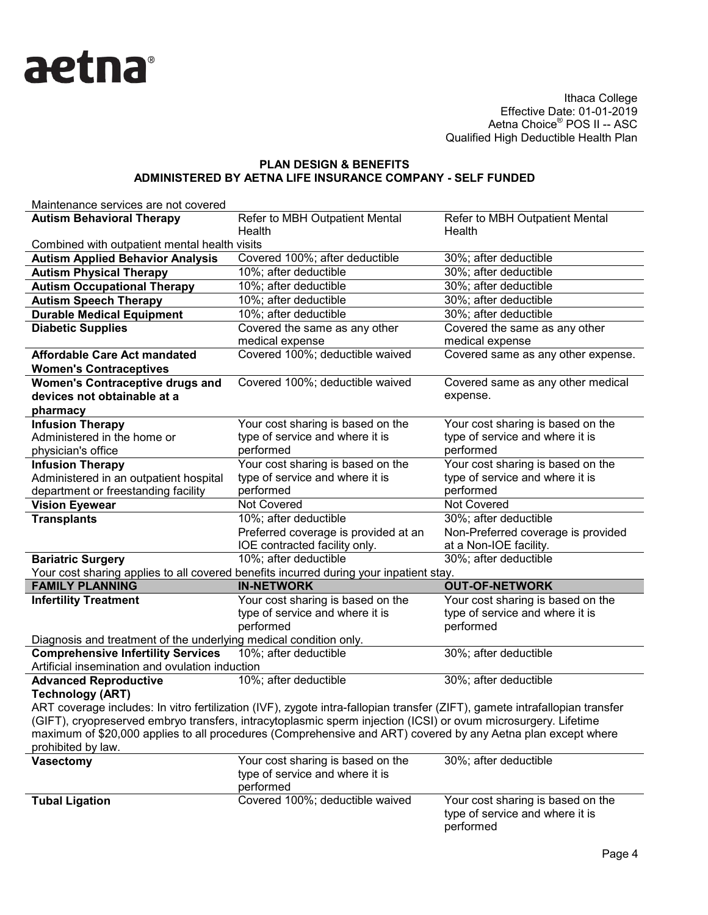

| Maintenance services are not covered                                                                                        |                                                                                                              |                                                              |  |  |
|-----------------------------------------------------------------------------------------------------------------------------|--------------------------------------------------------------------------------------------------------------|--------------------------------------------------------------|--|--|
| <b>Autism Behavioral Therapy</b>                                                                                            | Refer to MBH Outpatient Mental<br>Health                                                                     | Refer to MBH Outpatient Mental<br>Health                     |  |  |
| Combined with outpatient mental health visits                                                                               |                                                                                                              |                                                              |  |  |
| <b>Autism Applied Behavior Analysis</b>                                                                                     | Covered 100%; after deductible                                                                               | 30%; after deductible                                        |  |  |
| <b>Autism Physical Therapy</b>                                                                                              | 10%; after deductible                                                                                        | 30%; after deductible                                        |  |  |
| <b>Autism Occupational Therapy</b>                                                                                          | 10%; after deductible                                                                                        | 30%; after deductible                                        |  |  |
| <b>Autism Speech Therapy</b>                                                                                                | 10%; after deductible                                                                                        | 30%; after deductible                                        |  |  |
| <b>Durable Medical Equipment</b>                                                                                            | 10%; after deductible                                                                                        | 30%; after deductible                                        |  |  |
| <b>Diabetic Supplies</b>                                                                                                    | Covered the same as any other                                                                                | Covered the same as any other                                |  |  |
|                                                                                                                             | medical expense                                                                                              | medical expense                                              |  |  |
| <b>Affordable Care Act mandated</b>                                                                                         | Covered 100%; deductible waived                                                                              | Covered same as any other expense.                           |  |  |
| <b>Women's Contraceptives</b>                                                                                               |                                                                                                              |                                                              |  |  |
| <b>Women's Contraceptive drugs and</b>                                                                                      | Covered 100%; deductible waived                                                                              | Covered same as any other medical                            |  |  |
| devices not obtainable at a                                                                                                 |                                                                                                              | expense.                                                     |  |  |
| pharmacy                                                                                                                    |                                                                                                              |                                                              |  |  |
| <b>Infusion Therapy</b>                                                                                                     | Your cost sharing is based on the                                                                            | Your cost sharing is based on the                            |  |  |
| Administered in the home or                                                                                                 | type of service and where it is                                                                              | type of service and where it is                              |  |  |
| physician's office                                                                                                          | performed                                                                                                    | performed                                                    |  |  |
| <b>Infusion Therapy</b>                                                                                                     | Your cost sharing is based on the                                                                            | Your cost sharing is based on the                            |  |  |
| Administered in an outpatient hospital                                                                                      | type of service and where it is                                                                              | type of service and where it is                              |  |  |
| department or freestanding facility                                                                                         | performed                                                                                                    | performed                                                    |  |  |
| <b>Vision Eyewear</b>                                                                                                       | Not Covered                                                                                                  | Not Covered                                                  |  |  |
| <b>Transplants</b>                                                                                                          | 10%; after deductible                                                                                        | 30%; after deductible                                        |  |  |
|                                                                                                                             | Preferred coverage is provided at an<br>IOE contracted facility only.                                        | Non-Preferred coverage is provided<br>at a Non-IOE facility. |  |  |
| <b>Bariatric Surgery</b>                                                                                                    | 10%; after deductible                                                                                        | 30%; after deductible                                        |  |  |
|                                                                                                                             | Your cost sharing applies to all covered benefits incurred during your inpatient stay.                       |                                                              |  |  |
| <b>FAMILY PLANNING</b>                                                                                                      | <b>IN-NETWORK</b>                                                                                            | <b>OUT-OF-NETWORK</b>                                        |  |  |
| <b>Infertility Treatment</b>                                                                                                | Your cost sharing is based on the                                                                            | Your cost sharing is based on the                            |  |  |
|                                                                                                                             | type of service and where it is                                                                              | type of service and where it is                              |  |  |
|                                                                                                                             | performed                                                                                                    | performed                                                    |  |  |
| Diagnosis and treatment of the underlying medical condition only.                                                           |                                                                                                              |                                                              |  |  |
| <b>Comprehensive Infertility Services</b>                                                                                   | 10%; after deductible                                                                                        | 30%; after deductible                                        |  |  |
| Artificial insemination and ovulation induction                                                                             |                                                                                                              |                                                              |  |  |
| <b>Advanced Reproductive</b>                                                                                                | 10%; after deductible                                                                                        | 30%; after deductible                                        |  |  |
| <b>Technology (ART)</b>                                                                                                     |                                                                                                              |                                                              |  |  |
| ART coverage includes: In vitro fertilization (IVF), zygote intra-fallopian transfer (ZIFT), gamete intrafallopian transfer |                                                                                                              |                                                              |  |  |
| (GIFT), cryopreserved embryo transfers, intracytoplasmic sperm injection (ICSI) or ovum microsurgery. Lifetime              |                                                                                                              |                                                              |  |  |
|                                                                                                                             | maximum of \$20,000 applies to all procedures (Comprehensive and ART) covered by any Aetna plan except where |                                                              |  |  |
| prohibited by law.                                                                                                          |                                                                                                              |                                                              |  |  |
| Vasectomy                                                                                                                   | Your cost sharing is based on the                                                                            | 30%; after deductible                                        |  |  |
|                                                                                                                             | type of service and where it is                                                                              |                                                              |  |  |
|                                                                                                                             | performed                                                                                                    |                                                              |  |  |
| <b>Tubal Ligation</b>                                                                                                       | Covered 100%; deductible waived                                                                              | Your cost sharing is based on the                            |  |  |
|                                                                                                                             |                                                                                                              | type of service and where it is<br>performed                 |  |  |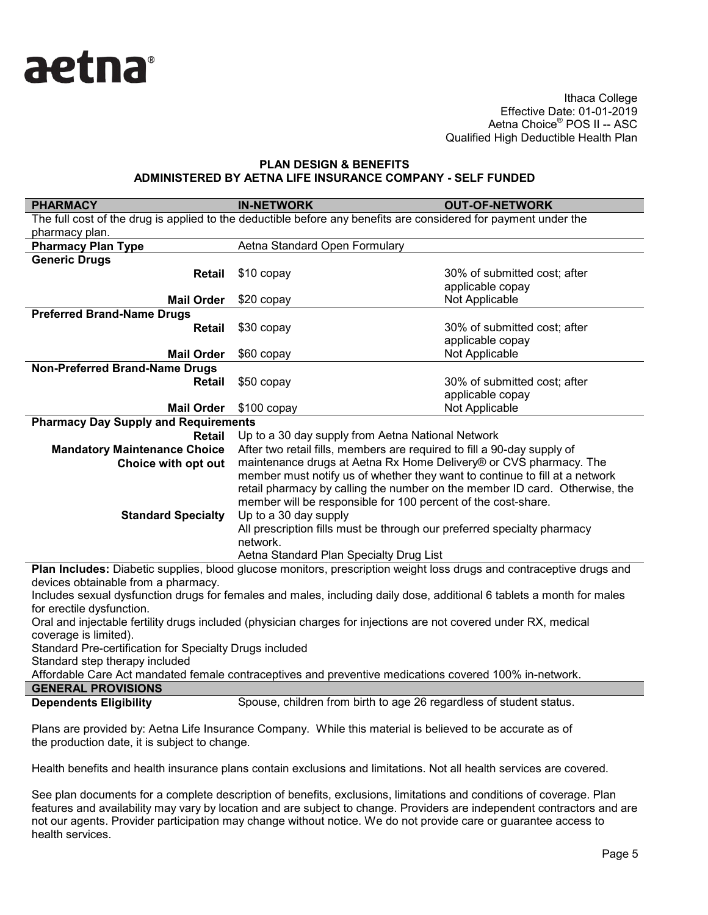

## **PLAN DESIGN & BENEFITS ADMINISTERED BY AETNA LIFE INSURANCE COMPANY - SELF FUNDED**

| <b>PHARMACY</b>                                                                                                                                             | <b>IN-NETWORK</b>                                                                                                                                                                                                           | <b>OUT-OF-NETWORK</b>                            |  |  |
|-------------------------------------------------------------------------------------------------------------------------------------------------------------|-----------------------------------------------------------------------------------------------------------------------------------------------------------------------------------------------------------------------------|--------------------------------------------------|--|--|
| pharmacy plan.                                                                                                                                              | The full cost of the drug is applied to the deductible before any benefits are considered for payment under the                                                                                                             |                                                  |  |  |
| <b>Pharmacy Plan Type</b>                                                                                                                                   | Aetna Standard Open Formulary                                                                                                                                                                                               |                                                  |  |  |
| <b>Generic Drugs</b>                                                                                                                                        |                                                                                                                                                                                                                             |                                                  |  |  |
| <b>Retail</b>                                                                                                                                               | \$10 copay                                                                                                                                                                                                                  | 30% of submitted cost; after<br>applicable copay |  |  |
| <b>Mail Order</b>                                                                                                                                           | \$20 copay                                                                                                                                                                                                                  | Not Applicable                                   |  |  |
| <b>Preferred Brand-Name Drugs</b>                                                                                                                           |                                                                                                                                                                                                                             |                                                  |  |  |
| <b>Retail</b>                                                                                                                                               | \$30 copay                                                                                                                                                                                                                  | 30% of submitted cost; after<br>applicable copay |  |  |
| <b>Mail Order</b>                                                                                                                                           | \$60 copay                                                                                                                                                                                                                  | Not Applicable                                   |  |  |
| <b>Non-Preferred Brand-Name Drugs</b>                                                                                                                       |                                                                                                                                                                                                                             |                                                  |  |  |
| <b>Retail</b>                                                                                                                                               | \$50 copay                                                                                                                                                                                                                  | 30% of submitted cost; after<br>applicable copay |  |  |
| <b>Mail Order</b>                                                                                                                                           | \$100 copay                                                                                                                                                                                                                 | Not Applicable                                   |  |  |
| <b>Pharmacy Day Supply and Requirements</b>                                                                                                                 |                                                                                                                                                                                                                             |                                                  |  |  |
| <b>Retail</b>                                                                                                                                               | Up to a 30 day supply from Aetna National Network                                                                                                                                                                           |                                                  |  |  |
| <b>Mandatory Maintenance Choice</b>                                                                                                                         | After two retail fills, members are required to fill a 90-day supply of                                                                                                                                                     |                                                  |  |  |
| Choice with opt out                                                                                                                                         | maintenance drugs at Aetna Rx Home Delivery® or CVS pharmacy. The                                                                                                                                                           |                                                  |  |  |
|                                                                                                                                                             | member must notify us of whether they want to continue to fill at a network<br>retail pharmacy by calling the number on the member ID card. Otherwise, the<br>member will be responsible for 100 percent of the cost-share. |                                                  |  |  |
| <b>Standard Specialty</b>                                                                                                                                   | Up to a 30 day supply                                                                                                                                                                                                       |                                                  |  |  |
|                                                                                                                                                             | All prescription fills must be through our preferred specialty pharmacy<br>network.                                                                                                                                         |                                                  |  |  |
|                                                                                                                                                             | Aetna Standard Plan Specialty Drug List                                                                                                                                                                                     |                                                  |  |  |
| Plan Includes: Diabetic supplies, blood glucose monitors, prescription weight loss drugs and contraceptive drugs and<br>devices obtainable from a pharmacy. |                                                                                                                                                                                                                             |                                                  |  |  |
| Includes sexual dysfunction drugs for females and males, including daily dose, additional 6 tablets a month for males<br>for erectile dysfunction.          |                                                                                                                                                                                                                             |                                                  |  |  |
| Oral and injectable fertility drugs included (physician charges for injections are not covered under RX, medical<br>coverage is limited).                   |                                                                                                                                                                                                                             |                                                  |  |  |
| Standard Pre-certification for Specialty Drugs included<br>Standard step therapy included                                                                   |                                                                                                                                                                                                                             |                                                  |  |  |
| Affordable Care Act mandated female contracentives and preventive medications covered 100% in petwork                                                       |                                                                                                                                                                                                                             |                                                  |  |  |

 $\mathop{\mathsf{an}}$ dated female contraceptives and preventive medications covered 100% in-network. **GENERAL PROVISIONS**

**Dependents Eligibility** Spouse, children from birth to age 26 regardless of student status.

Plans are provided by: Aetna Life Insurance Company. While this material is believed to be accurate as of the production date, it is subject to change.

Health benefits and health insurance plans contain exclusions and limitations. Not all health services are covered.

See plan documents for a complete description of benefits, exclusions, limitations and conditions of coverage. Plan features and availability may vary by location and are subject to change. Providers are independent contractors and are not our agents. Provider participation may change without notice. We do not provide care or guarantee access to health services.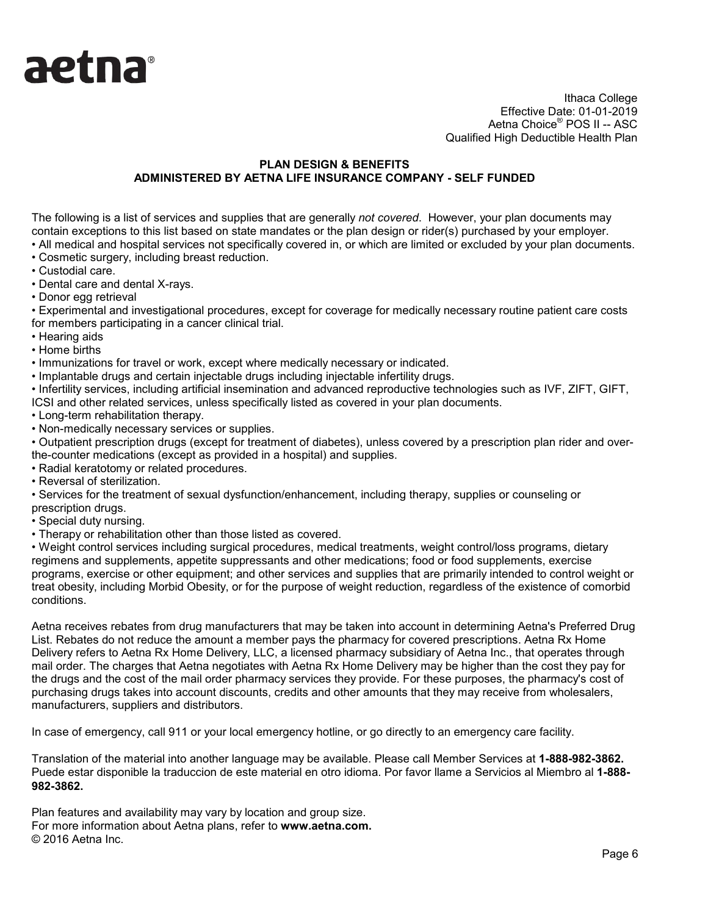

# **PLAN DESIGN & BENEFITS ADMINISTERED BY AETNA LIFE INSURANCE COMPANY - SELF FUNDED**

The following is a list of services and supplies that are generally *not covered*. However, your plan documents may contain exceptions to this list based on state mandates or the plan design or rider(s) purchased by your employer. • All medical and hospital services not specifically covered in, or which are limited or excluded by your plan documents.

- Cosmetic surgery, including breast reduction.
- Custodial care.
- Dental care and dental X-rays.
- Donor egg retrieval

• Experimental and investigational procedures, except for coverage for medically necessary routine patient care costs for members participating in a cancer clinical trial.

- Hearing aids
- Home births

• Immunizations for travel or work, except where medically necessary or indicated.

• Implantable drugs and certain injectable drugs including injectable infertility drugs.

• Infertility services, including artificial insemination and advanced reproductive technologies such as IVF, ZIFT, GIFT, ICSI and other related services, unless specifically listed as covered in your plan documents.

• Long-term rehabilitation therapy.

• Non-medically necessary services or supplies.

• Outpatient prescription drugs (except for treatment of diabetes), unless covered by a prescription plan rider and overthe-counter medications (except as provided in a hospital) and supplies.

- Radial keratotomy or related procedures.
- Reversal of sterilization.

• Services for the treatment of sexual dysfunction/enhancement, including therapy, supplies or counseling or prescription drugs.

- Special duty nursing.
- Therapy or rehabilitation other than those listed as covered.

• Weight control services including surgical procedures, medical treatments, weight control/loss programs, dietary regimens and supplements, appetite suppressants and other medications; food or food supplements, exercise programs, exercise or other equipment; and other services and supplies that are primarily intended to control weight or treat obesity, including Morbid Obesity, or for the purpose of weight reduction, regardless of the existence of comorbid conditions.

Aetna receives rebates from drug manufacturers that may be taken into account in determining Aetna's Preferred Drug List. Rebates do not reduce the amount a member pays the pharmacy for covered prescriptions. Aetna Rx Home Delivery refers to Aetna Rx Home Delivery, LLC, a licensed pharmacy subsidiary of Aetna Inc., that operates through mail order. The charges that Aetna negotiates with Aetna Rx Home Delivery may be higher than the cost they pay for the drugs and the cost of the mail order pharmacy services they provide. For these purposes, the pharmacy's cost of purchasing drugs takes into account discounts, credits and other amounts that they may receive from wholesalers, manufacturers, suppliers and distributors.

In case of emergency, call 911 or your local emergency hotline, or go directly to an emergency care facility.

Translation of the material into another language may be available. Please call Member Services at **1-888-982-3862.** Puede estar disponible la traduccion de este material en otro idioma. Por favor llame a Servicios al Miembro al **1-888- 982-3862.**

Plan features and availability may vary by location and group size. For more information about Aetna plans, refer to **www.aetna.com.** © 2016 Aetna Inc.